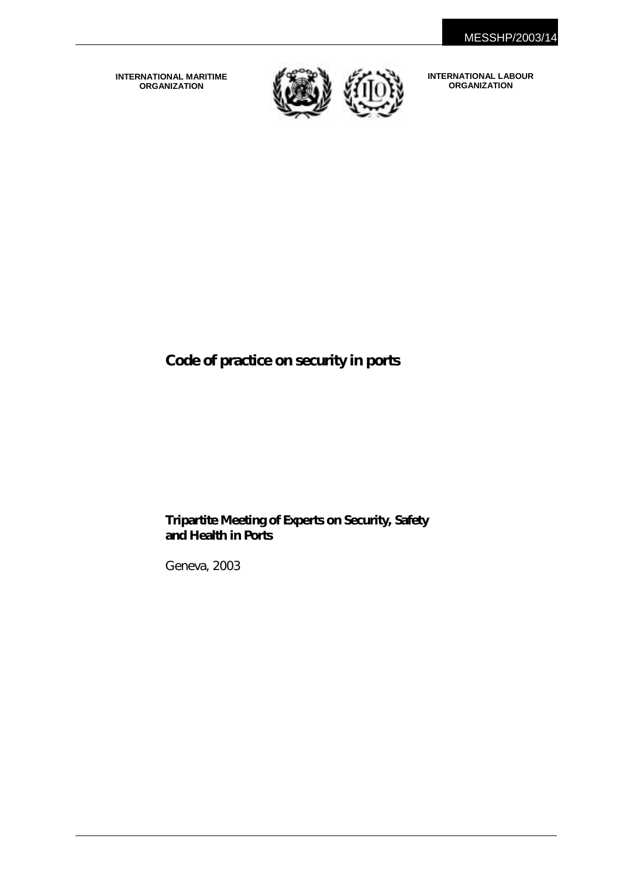**INTERNATIONAL MARITIME ORGANIZATION**



**INTERNATIONAL LABOUR ORGANIZATION** 

# **Code of practice on security in ports**

## **Tripartite Meeting of Experts on Security, Safety and Health in Ports**

Geneva, 2003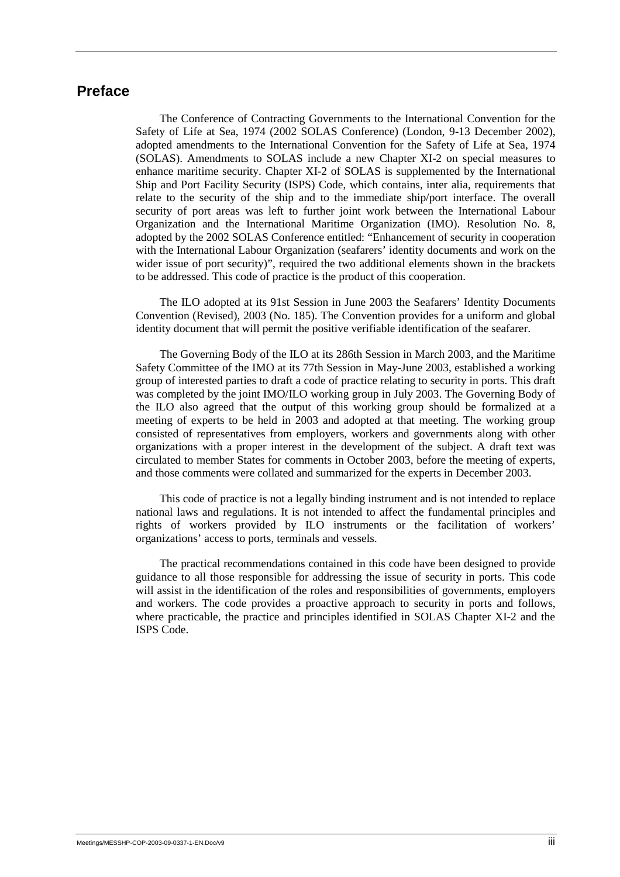## **Preface**

The Conference of Contracting Governments to the International Convention for the Safety of Life at Sea, 1974 (2002 SOLAS Conference) (London, 9-13 December 2002), adopted amendments to the International Convention for the Safety of Life at Sea, 1974 (SOLAS). Amendments to SOLAS include a new Chapter XI-2 on special measures to enhance maritime security. Chapter XI-2 of SOLAS is supplemented by the International Ship and Port Facility Security (ISPS) Code, which contains, inter alia, requirements that relate to the security of the ship and to the immediate ship/port interface. The overall security of port areas was left to further joint work between the International Labour Organization and the International Maritime Organization (IMO). Resolution No. 8, adopted by the 2002 SOLAS Conference entitled: "Enhancement of security in cooperation with the International Labour Organization (seafarers' identity documents and work on the wider issue of port security)", required the two additional elements shown in the brackets to be addressed. This code of practice is the product of this cooperation.

The ILO adopted at its 91st Session in June 2003 the Seafarers' Identity Documents Convention (Revised), 2003 (No. 185). The Convention provides for a uniform and global identity document that will permit the positive verifiable identification of the seafarer.

The Governing Body of the ILO at its 286th Session in March 2003, and the Maritime Safety Committee of the IMO at its 77th Session in May-June 2003, established a working group of interested parties to draft a code of practice relating to security in ports. This draft was completed by the joint IMO/ILO working group in July 2003. The Governing Body of the ILO also agreed that the output of this working group should be formalized at a meeting of experts to be held in 2003 and adopted at that meeting. The working group consisted of representatives from employers, workers and governments along with other organizations with a proper interest in the development of the subject. A draft text was circulated to member States for comments in October 2003, before the meeting of experts, and those comments were collated and summarized for the experts in December 2003.

This code of practice is not a legally binding instrument and is not intended to replace national laws and regulations. It is not intended to affect the fundamental principles and rights of workers provided by ILO instruments or the facilitation of workers' organizations' access to ports, terminals and vessels.

The practical recommendations contained in this code have been designed to provide guidance to all those responsible for addressing the issue of security in ports. This code will assist in the identification of the roles and responsibilities of governments, employers and workers. The code provides a proactive approach to security in ports and follows, where practicable, the practice and principles identified in SOLAS Chapter XI-2 and the ISPS Code.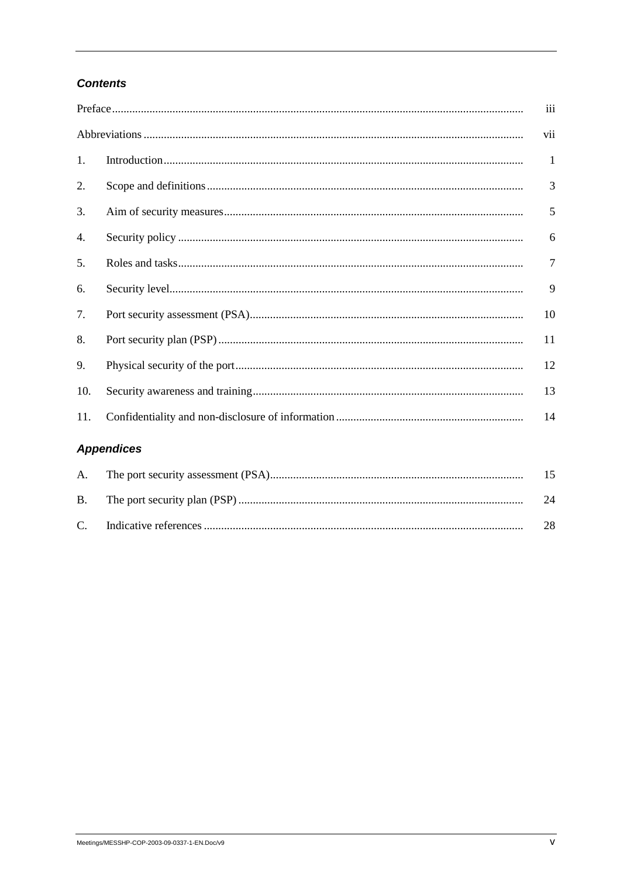## **Contents**

|     |                                                              | iii |
|-----|--------------------------------------------------------------|-----|
|     |                                                              | vii |
| 1.  |                                                              | 1   |
| 2.  |                                                              | 3   |
| 3.  |                                                              | 5   |
| 4.  |                                                              | 6   |
| 5.  |                                                              | 7   |
| 6.  |                                                              | 9   |
| 7.  |                                                              | 10  |
| 8.  |                                                              | 11  |
| 9.  |                                                              | 12  |
| 10. |                                                              | 13  |
| 11. |                                                              | 14  |
|     | <b>Appendices</b>                                            |     |
| А.  |                                                              | 15  |
|     | $\mathbf{r}$ and $\mathbf{r}$ is the control of $\mathbf{r}$ |     |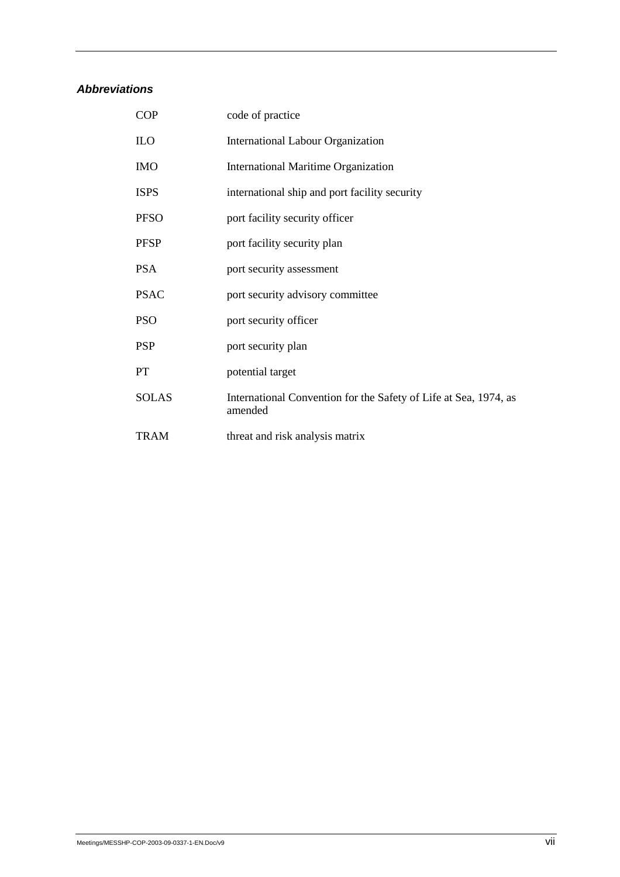## *Abbreviations*

| <b>COP</b>   | code of practice                                                            |
|--------------|-----------------------------------------------------------------------------|
| <b>ILO</b>   | <b>International Labour Organization</b>                                    |
| <b>IMO</b>   | <b>International Maritime Organization</b>                                  |
| <b>ISPS</b>  | international ship and port facility security                               |
| <b>PFSO</b>  | port facility security officer                                              |
| <b>PFSP</b>  | port facility security plan                                                 |
| <b>PSA</b>   | port security assessment                                                    |
| <b>PSAC</b>  | port security advisory committee                                            |
| <b>PSO</b>   | port security officer                                                       |
| <b>PSP</b>   | port security plan                                                          |
| <b>PT</b>    | potential target                                                            |
| <b>SOLAS</b> | International Convention for the Safety of Life at Sea, 1974, as<br>amended |
| <b>TRAM</b>  | threat and risk analysis matrix                                             |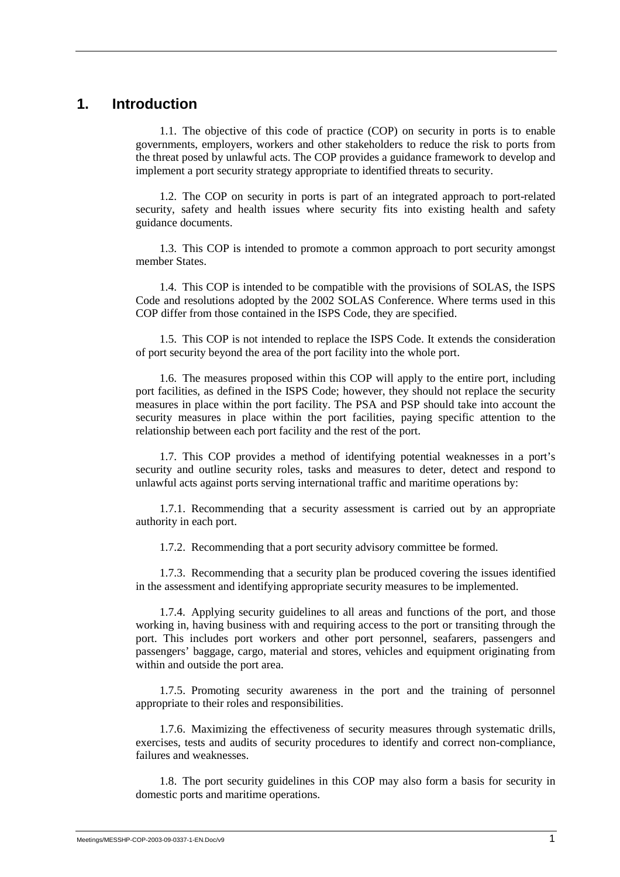## **1. Introduction**

1.1. The objective of this code of practice (COP) on security in ports is to enable governments, employers, workers and other stakeholders to reduce the risk to ports from the threat posed by unlawful acts. The COP provides a guidance framework to develop and implement a port security strategy appropriate to identified threats to security.

1.2. The COP on security in ports is part of an integrated approach to port-related security, safety and health issues where security fits into existing health and safety guidance documents.

1.3. This COP is intended to promote a common approach to port security amongst member States.

1.4. This COP is intended to be compatible with the provisions of SOLAS, the ISPS Code and resolutions adopted by the 2002 SOLAS Conference. Where terms used in this COP differ from those contained in the ISPS Code, they are specified.

1.5. This COP is not intended to replace the ISPS Code. It extends the consideration of port security beyond the area of the port facility into the whole port.

1.6. The measures proposed within this COP will apply to the entire port, including port facilities, as defined in the ISPS Code; however, they should not replace the security measures in place within the port facility. The PSA and PSP should take into account the security measures in place within the port facilities, paying specific attention to the relationship between each port facility and the rest of the port.

1.7. This COP provides a method of identifying potential weaknesses in a port's security and outline security roles, tasks and measures to deter, detect and respond to unlawful acts against ports serving international traffic and maritime operations by:

1.7.1. Recommending that a security assessment is carried out by an appropriate authority in each port.

1.7.2. Recommending that a port security advisory committee be formed.

1.7.3. Recommending that a security plan be produced covering the issues identified in the assessment and identifying appropriate security measures to be implemented.

1.7.4. Applying security guidelines to all areas and functions of the port, and those working in, having business with and requiring access to the port or transiting through the port. This includes port workers and other port personnel, seafarers, passengers and passengers' baggage, cargo, material and stores, vehicles and equipment originating from within and outside the port area.

1.7.5. Promoting security awareness in the port and the training of personnel appropriate to their roles and responsibilities.

1.7.6. Maximizing the effectiveness of security measures through systematic drills, exercises, tests and audits of security procedures to identify and correct non-compliance, failures and weaknesses.

1.8. The port security guidelines in this COP may also form a basis for security in domestic ports and maritime operations.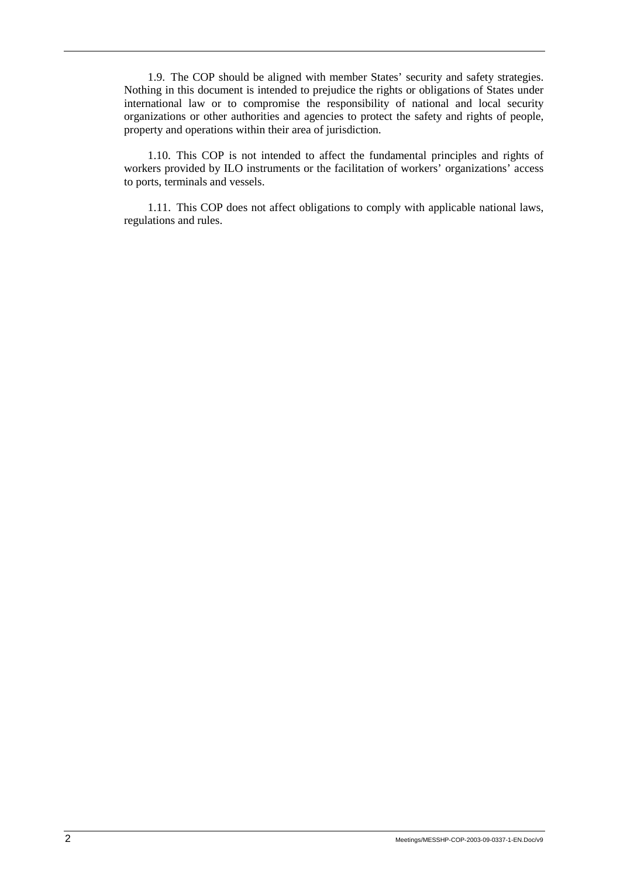1.9. The COP should be aligned with member States' security and safety strategies. Nothing in this document is intended to prejudice the rights or obligations of States under international law or to compromise the responsibility of national and local security organizations or other authorities and agencies to protect the safety and rights of people, property and operations within their area of jurisdiction.

1.10. This COP is not intended to affect the fundamental principles and rights of workers provided by ILO instruments or the facilitation of workers' organizations' access to ports, terminals and vessels.

1.11. This COP does not affect obligations to comply with applicable national laws, regulations and rules.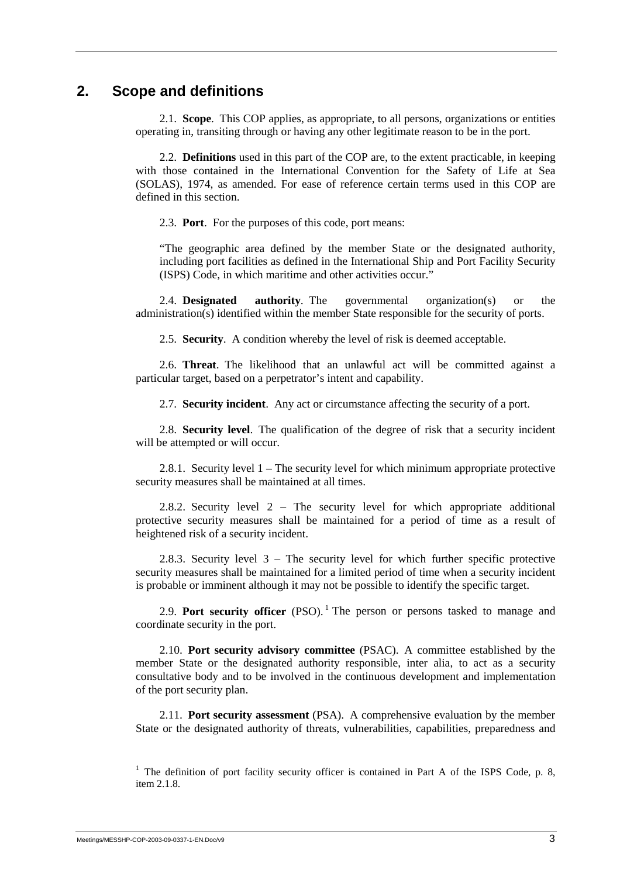## **2. Scope and definitions**

2.1. **Scope**.This COP applies, as appropriate, to all persons, organizations or entities operating in, transiting through or having any other legitimate reason to be in the port.

2.2. **Definitions** used in this part of the COP are, to the extent practicable, in keeping with those contained in the International Convention for the Safety of Life at Sea (SOLAS), 1974, as amended. For ease of reference certain terms used in this COP are defined in this section.

2.3. **Port**. For the purposes of this code, port means:

 "The geographic area defined by the member State or the designated authority, including port facilities as defined in the International Ship and Port Facility Security (ISPS) Code, in which maritime and other activities occur."

2.4. **Designated authority**. The governmental organization(s) or the administration(s) identified within the member State responsible for the security of ports.

2.5. **Security**. A condition whereby the level of risk is deemed acceptable.

2.6. **Threat**. The likelihood that an unlawful act will be committed against a particular target, based on a perpetrator's intent and capability.

2.7. **Security incident**. Any act or circumstance affecting the security of a port.

2.8. **Security level**. The qualification of the degree of risk that a security incident will be attempted or will occur.

2.8.1. Security level 1 – The security level for which minimum appropriate protective security measures shall be maintained at all times.

2.8.2. Security level 2 – The security level for which appropriate additional protective security measures shall be maintained for a period of time as a result of heightened risk of a security incident.

2.8.3. Security level 3 – The security level for which further specific protective security measures shall be maintained for a limited period of time when a security incident is probable or imminent although it may not be possible to identify the specific target.

2.9. **Port security officer** (PSO).<sup>1</sup> The person or persons tasked to manage and coordinate security in the port.

2.10. **Port security advisory committee** (PSAC). A committee established by the member State or the designated authority responsible, inter alia, to act as a security consultative body and to be involved in the continuous development and implementation of the port security plan.

2.11. **Port security assessment** (PSA). A comprehensive evaluation by the member State or the designated authority of threats, vulnerabilities, capabilities, preparedness and

<sup>1</sup> The definition of port facility security officer is contained in Part A of the ISPS Code, p. 8, item 2.1.8.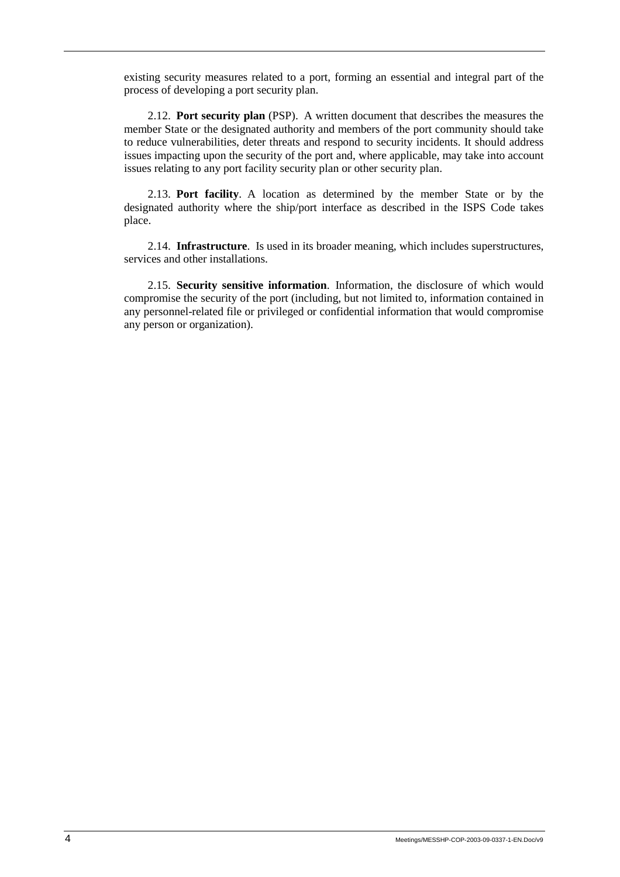existing security measures related to a port, forming an essential and integral part of the process of developing a port security plan.

2.12. **Port security plan** (PSP). A written document that describes the measures the member State or the designated authority and members of the port community should take to reduce vulnerabilities, deter threats and respond to security incidents. It should address issues impacting upon the security of the port and, where applicable, may take into account issues relating to any port facility security plan or other security plan.

2.13. **Port facility**. A location as determined by the member State or by the designated authority where the ship/port interface as described in the ISPS Code takes place.

2.14. **Infrastructure**. Is used in its broader meaning, which includes superstructures, services and other installations.

2.15. **Security sensitive information**. Information, the disclosure of which would compromise the security of the port (including, but not limited to, information contained in any personnel-related file or privileged or confidential information that would compromise any person or organization).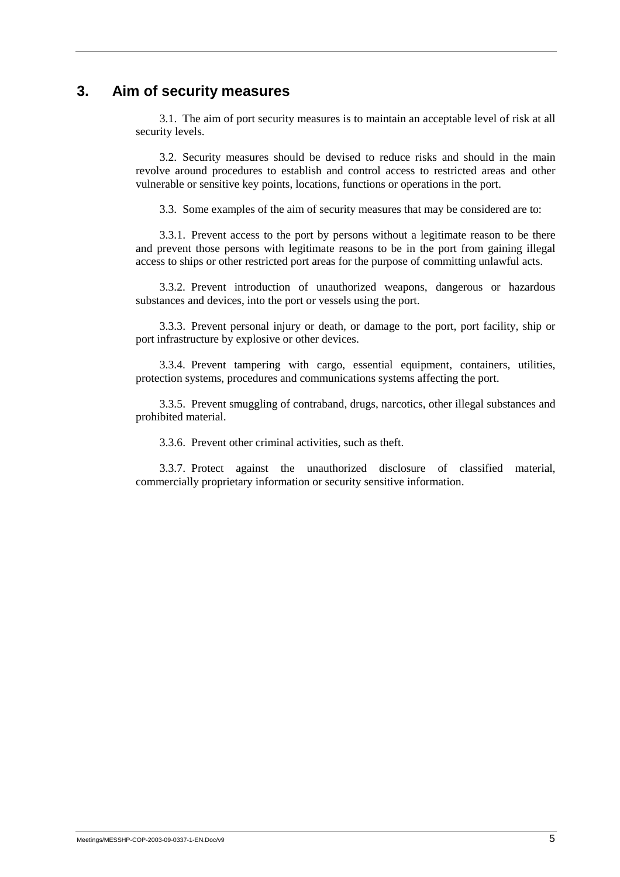## **3. Aim of security measures**

3.1. The aim of port security measures is to maintain an acceptable level of risk at all security levels.

3.2. Security measures should be devised to reduce risks and should in the main revolve around procedures to establish and control access to restricted areas and other vulnerable or sensitive key points, locations, functions or operations in the port.

3.3. Some examples of the aim of security measures that may be considered are to:

3.3.1. Prevent access to the port by persons without a legitimate reason to be there and prevent those persons with legitimate reasons to be in the port from gaining illegal access to ships or other restricted port areas for the purpose of committing unlawful acts.

3.3.2. Prevent introduction of unauthorized weapons, dangerous or hazardous substances and devices, into the port or vessels using the port.

3.3.3. Prevent personal injury or death, or damage to the port, port facility, ship or port infrastructure by explosive or other devices.

3.3.4. Prevent tampering with cargo, essential equipment, containers, utilities, protection systems, procedures and communications systems affecting the port.

3.3.5. Prevent smuggling of contraband, drugs, narcotics, other illegal substances and prohibited material.

3.3.6. Prevent other criminal activities, such as theft.

3.3.7. Protect against the unauthorized disclosure of classified material, commercially proprietary information or security sensitive information.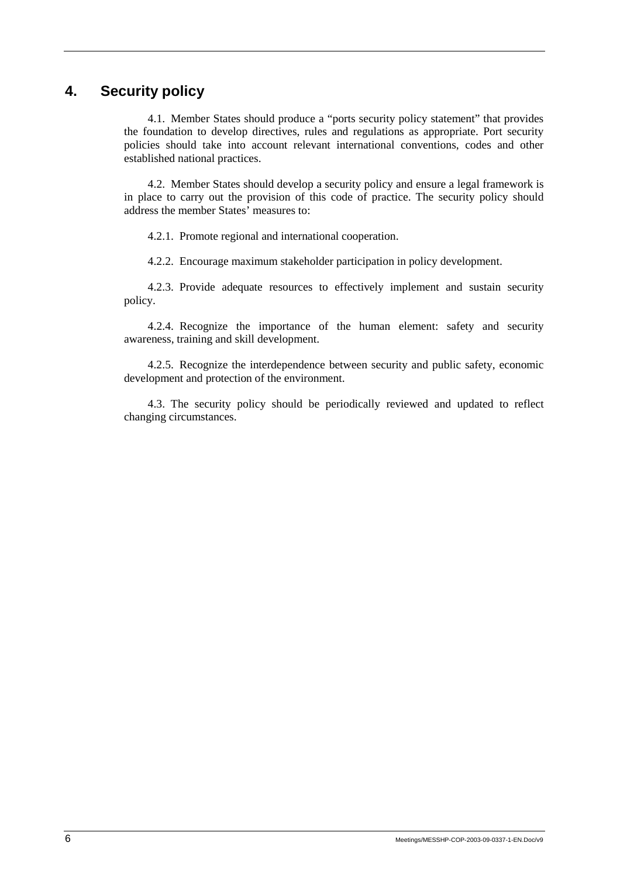# **4. Security policy**

4.1. Member States should produce a "ports security policy statement" that provides the foundation to develop directives, rules and regulations as appropriate. Port security policies should take into account relevant international conventions, codes and other established national practices.

4.2. Member States should develop a security policy and ensure a legal framework is in place to carry out the provision of this code of practice. The security policy should address the member States' measures to:

4.2.1. Promote regional and international cooperation.

4.2.2. Encourage maximum stakeholder participation in policy development.

4.2.3. Provide adequate resources to effectively implement and sustain security policy.

4.2.4. Recognize the importance of the human element: safety and security awareness, training and skill development.

4.2.5. Recognize the interdependence between security and public safety, economic development and protection of the environment.

4.3. The security policy should be periodically reviewed and updated to reflect changing circumstances.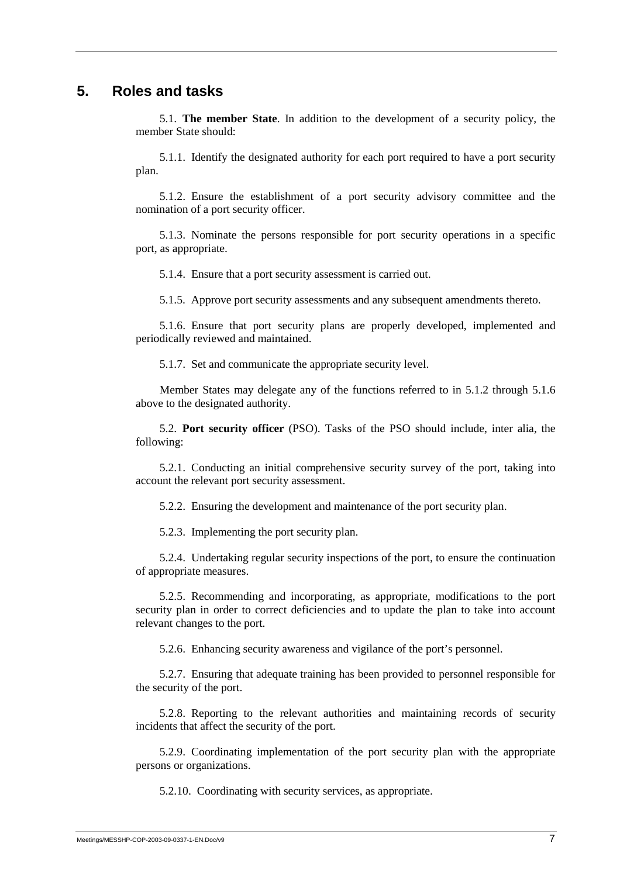## **5. Roles and tasks**

5.1. **The member State**. In addition to the development of a security policy, the member State should:

5.1.1. Identify the designated authority for each port required to have a port security plan.

5.1.2. Ensure the establishment of a port security advisory committee and the nomination of a port security officer.

5.1.3. Nominate the persons responsible for port security operations in a specific port, as appropriate.

5.1.4. Ensure that a port security assessment is carried out.

5.1.5. Approve port security assessments and any subsequent amendments thereto.

5.1.6. Ensure that port security plans are properly developed, implemented and periodically reviewed and maintained.

5.1.7. Set and communicate the appropriate security level.

Member States may delegate any of the functions referred to in 5.1.2 through 5.1.6 above to the designated authority.

5.2. **Port security officer** (PSO). Tasks of the PSO should include, inter alia, the following:

5.2.1. Conducting an initial comprehensive security survey of the port, taking into account the relevant port security assessment.

5.2.2. Ensuring the development and maintenance of the port security plan.

5.2.3. Implementing the port security plan.

5.2.4. Undertaking regular security inspections of the port, to ensure the continuation of appropriate measures.

5.2.5. Recommending and incorporating, as appropriate, modifications to the port security plan in order to correct deficiencies and to update the plan to take into account relevant changes to the port.

5.2.6. Enhancing security awareness and vigilance of the port's personnel.

5.2.7. Ensuring that adequate training has been provided to personnel responsible for the security of the port.

5.2.8. Reporting to the relevant authorities and maintaining records of security incidents that affect the security of the port.

5.2.9. Coordinating implementation of the port security plan with the appropriate persons or organizations.

5.2.10. Coordinating with security services, as appropriate.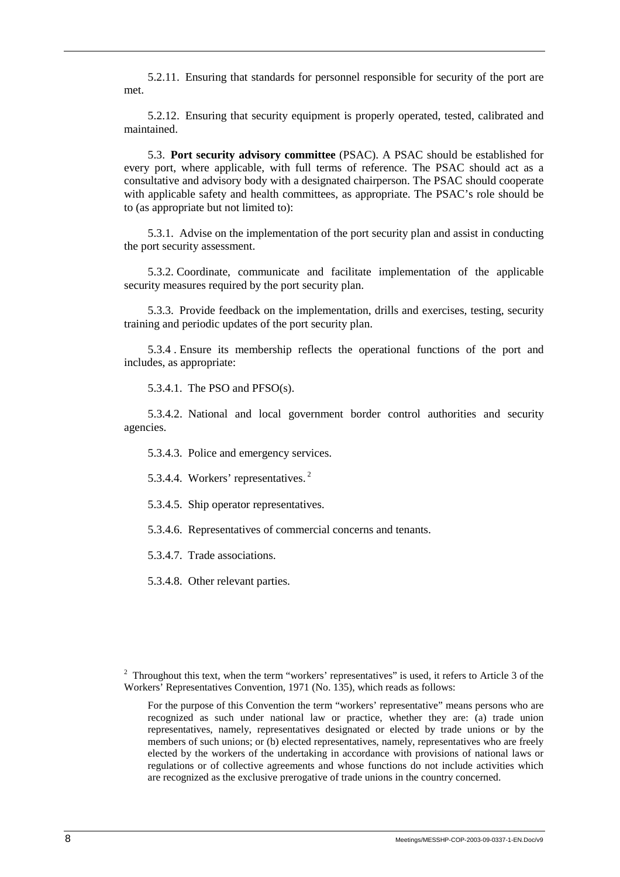5.2.11. Ensuring that standards for personnel responsible for security of the port are met.

5.2.12. Ensuring that security equipment is properly operated, tested, calibrated and maintained.

5.3. **Port security advisory committee** (PSAC). A PSAC should be established for every port, where applicable, with full terms of reference. The PSAC should act as a consultative and advisory body with a designated chairperson. The PSAC should cooperate with applicable safety and health committees, as appropriate. The PSAC's role should be to (as appropriate but not limited to):

5.3.1. Advise on the implementation of the port security plan and assist in conducting the port security assessment.

5.3.2. Coordinate, communicate and facilitate implementation of the applicable security measures required by the port security plan.

5.3.3. Provide feedback on the implementation, drills and exercises, testing, security training and periodic updates of the port security plan.

5.3.4 . Ensure its membership reflects the operational functions of the port and includes, as appropriate:

5.3.4.1. The PSO and  $PFSO(s)$ .

5.3.4.2. National and local government border control authorities and security agencies.

5.3.4.3. Police and emergency services.

5.3.4.4. Workers' representatives. 2

5.3.4.5. Ship operator representatives.

5.3.4.6. Representatives of commercial concerns and tenants.

5.3.4.7. Trade associations.

5.3.4.8. Other relevant parties.

<sup>&</sup>lt;sup>2</sup> Throughout this text, when the term "workers' representatives" is used, it refers to Article 3 of the Workers' Representatives Convention, 1971 (No. 135), which reads as follows:

For the purpose of this Convention the term "workers' representative" means persons who are recognized as such under national law or practice, whether they are: (a) trade union representatives, namely, representatives designated or elected by trade unions or by the members of such unions; or (b) elected representatives, namely, representatives who are freely elected by the workers of the undertaking in accordance with provisions of national laws or regulations or of collective agreements and whose functions do not include activities which are recognized as the exclusive prerogative of trade unions in the country concerned.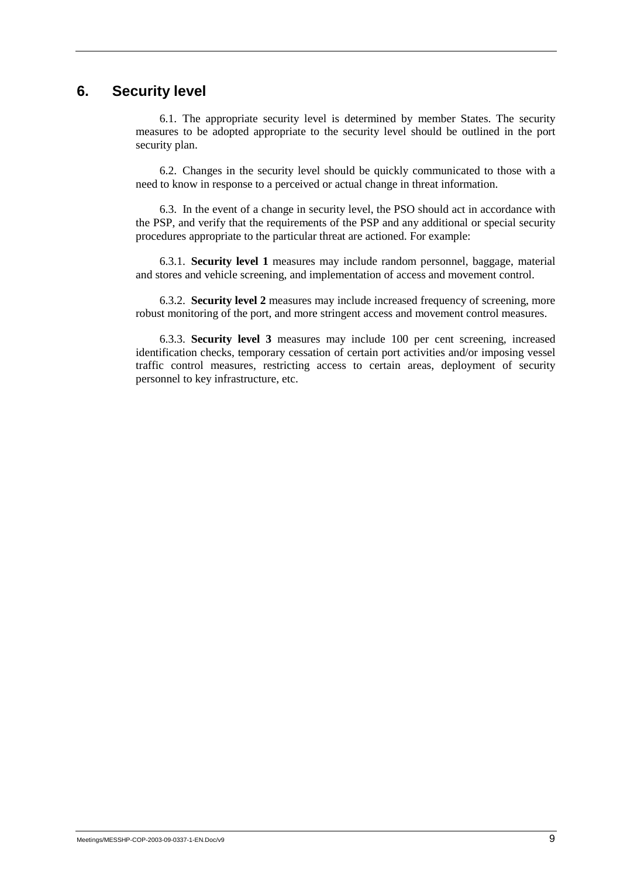## **6. Security level**

6.1. The appropriate security level is determined by member States. The security measures to be adopted appropriate to the security level should be outlined in the port security plan.

6.2. Changes in the security level should be quickly communicated to those with a need to know in response to a perceived or actual change in threat information.

6.3. In the event of a change in security level, the PSO should act in accordance with the PSP, and verify that the requirements of the PSP and any additional or special security procedures appropriate to the particular threat are actioned. For example:

6.3.1. **Security level 1** measures may include random personnel, baggage, material and stores and vehicle screening, and implementation of access and movement control.

6.3.2. **Security level 2** measures may include increased frequency of screening, more robust monitoring of the port, and more stringent access and movement control measures.

6.3.3. **Security level 3** measures may include 100 per cent screening, increased identification checks, temporary cessation of certain port activities and/or imposing vessel traffic control measures, restricting access to certain areas, deployment of security personnel to key infrastructure, etc.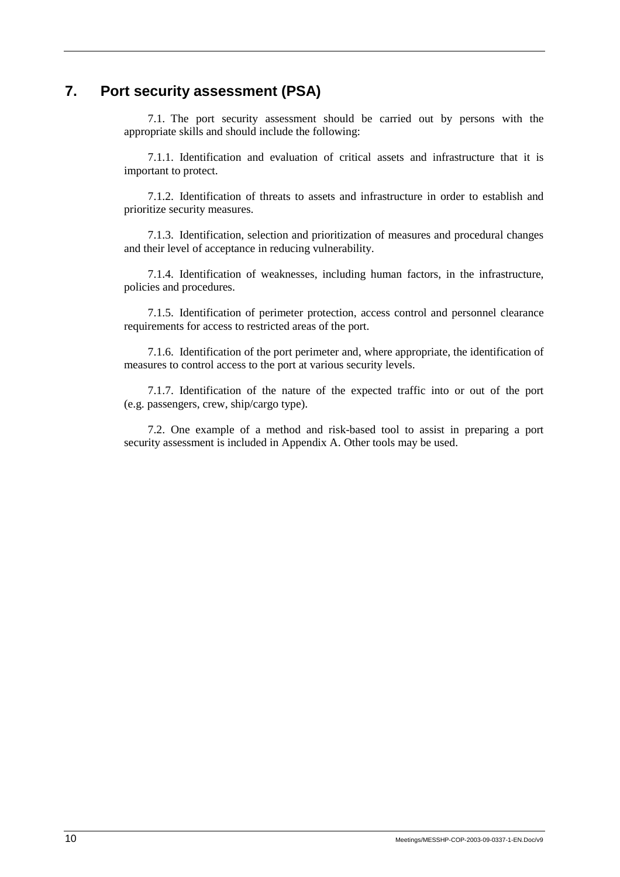# **7. Port security assessment (PSA)**

7.1. The port security assessment should be carried out by persons with the appropriate skills and should include the following:

7.1.1. Identification and evaluation of critical assets and infrastructure that it is important to protect.

7.1.2. Identification of threats to assets and infrastructure in order to establish and prioritize security measures.

7.1.3. Identification, selection and prioritization of measures and procedural changes and their level of acceptance in reducing vulnerability.

7.1.4. Identification of weaknesses, including human factors, in the infrastructure, policies and procedures.

7.1.5. Identification of perimeter protection, access control and personnel clearance requirements for access to restricted areas of the port.

7.1.6. Identification of the port perimeter and, where appropriate, the identification of measures to control access to the port at various security levels.

7.1.7. Identification of the nature of the expected traffic into or out of the port (e.g. passengers, crew, ship/cargo type).

7.2. One example of a method and risk-based tool to assist in preparing a port security assessment is included in Appendix A. Other tools may be used.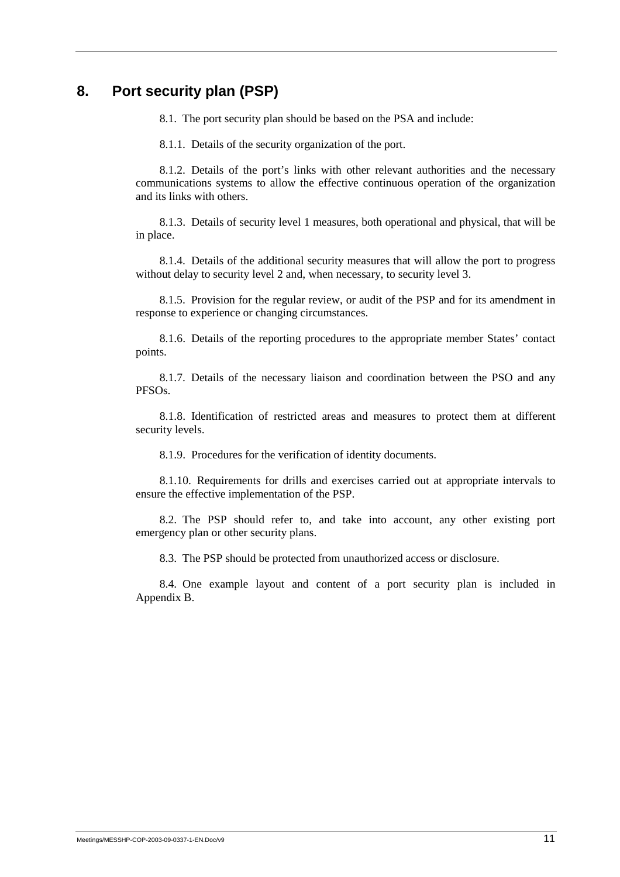## **8. Port security plan (PSP)**

8.1. The port security plan should be based on the PSA and include:

8.1.1. Details of the security organization of the port.

8.1.2. Details of the port's links with other relevant authorities and the necessary communications systems to allow the effective continuous operation of the organization and its links with others.

8.1.3. Details of security level 1 measures, both operational and physical, that will be in place.

8.1.4. Details of the additional security measures that will allow the port to progress without delay to security level 2 and, when necessary, to security level 3.

8.1.5. Provision for the regular review, or audit of the PSP and for its amendment in response to experience or changing circumstances.

8.1.6. Details of the reporting procedures to the appropriate member States' contact points.

8.1.7. Details of the necessary liaison and coordination between the PSO and any PFSOs.

8.1.8. Identification of restricted areas and measures to protect them at different security levels.

8.1.9. Procedures for the verification of identity documents.

8.1.10. Requirements for drills and exercises carried out at appropriate intervals to ensure the effective implementation of the PSP.

8.2. The PSP should refer to, and take into account, any other existing port emergency plan or other security plans.

8.3. The PSP should be protected from unauthorized access or disclosure.

8.4. One example layout and content of a port security plan is included in Appendix B.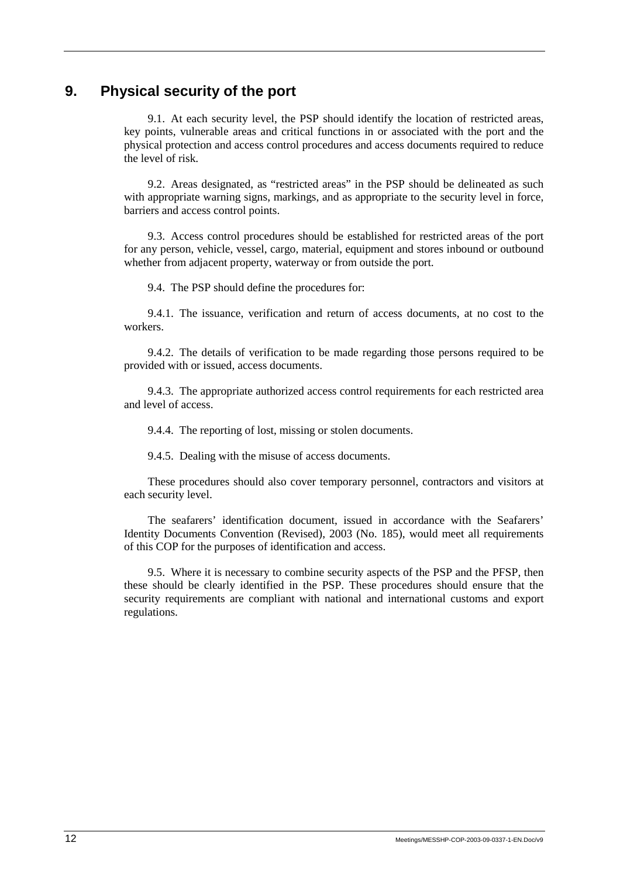## **9. Physical security of the port**

9.1. At each security level, the PSP should identify the location of restricted areas, key points, vulnerable areas and critical functions in or associated with the port and the physical protection and access control procedures and access documents required to reduce the level of risk.

9.2. Areas designated, as "restricted areas" in the PSP should be delineated as such with appropriate warning signs, markings, and as appropriate to the security level in force, barriers and access control points.

9.3. Access control procedures should be established for restricted areas of the port for any person, vehicle, vessel, cargo, material, equipment and stores inbound or outbound whether from adjacent property, waterway or from outside the port.

9.4. The PSP should define the procedures for:

9.4.1. The issuance, verification and return of access documents, at no cost to the workers.

9.4.2. The details of verification to be made regarding those persons required to be provided with or issued, access documents.

9.4.3. The appropriate authorized access control requirements for each restricted area and level of access.

9.4.4. The reporting of lost, missing or stolen documents.

9.4.5. Dealing with the misuse of access documents.

These procedures should also cover temporary personnel, contractors and visitors at each security level.

The seafarers' identification document, issued in accordance with the Seafarers' Identity Documents Convention (Revised), 2003 (No. 185), would meet all requirements of this COP for the purposes of identification and access.

9.5. Where it is necessary to combine security aspects of the PSP and the PFSP, then these should be clearly identified in the PSP. These procedures should ensure that the security requirements are compliant with national and international customs and export regulations.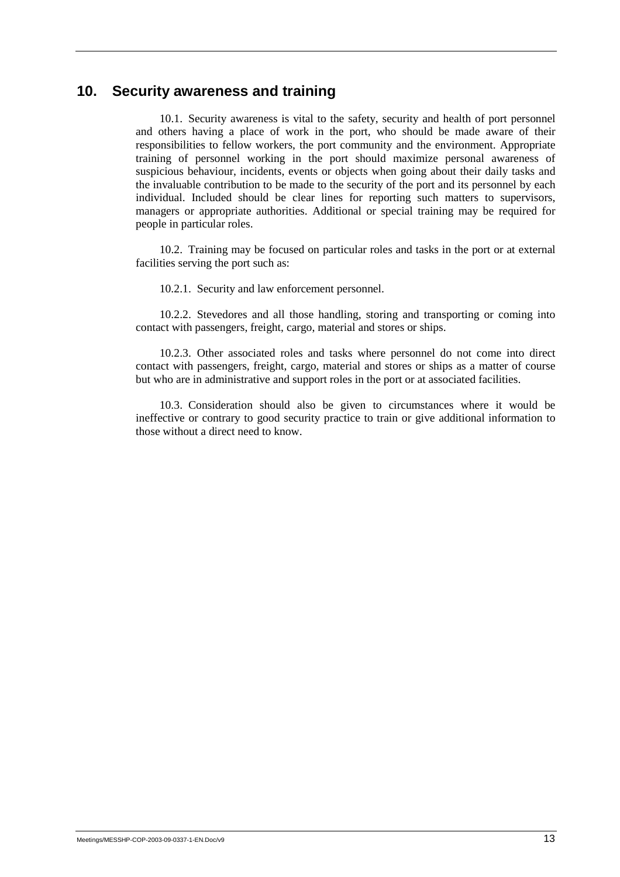## **10. Security awareness and training**

10.1. Security awareness is vital to the safety, security and health of port personnel and others having a place of work in the port, who should be made aware of their responsibilities to fellow workers, the port community and the environment. Appropriate training of personnel working in the port should maximize personal awareness of suspicious behaviour, incidents, events or objects when going about their daily tasks and the invaluable contribution to be made to the security of the port and its personnel by each individual. Included should be clear lines for reporting such matters to supervisors, managers or appropriate authorities. Additional or special training may be required for people in particular roles.

10.2. Training may be focused on particular roles and tasks in the port or at external facilities serving the port such as:

10.2.1. Security and law enforcement personnel.

10.2.2. Stevedores and all those handling, storing and transporting or coming into contact with passengers, freight, cargo, material and stores or ships.

10.2.3. Other associated roles and tasks where personnel do not come into direct contact with passengers, freight, cargo, material and stores or ships as a matter of course but who are in administrative and support roles in the port or at associated facilities.

10.3. Consideration should also be given to circumstances where it would be ineffective or contrary to good security practice to train or give additional information to those without a direct need to know.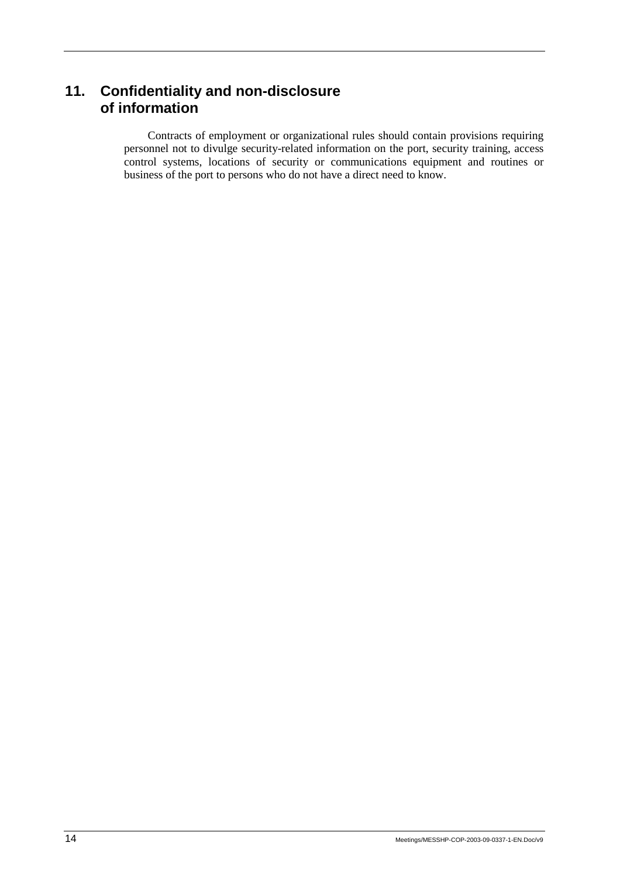# **11. Confidentiality and non-disclosure of information**

Contracts of employment or organizational rules should contain provisions requiring personnel not to divulge security-related information on the port, security training, access control systems, locations of security or communications equipment and routines or business of the port to persons who do not have a direct need to know.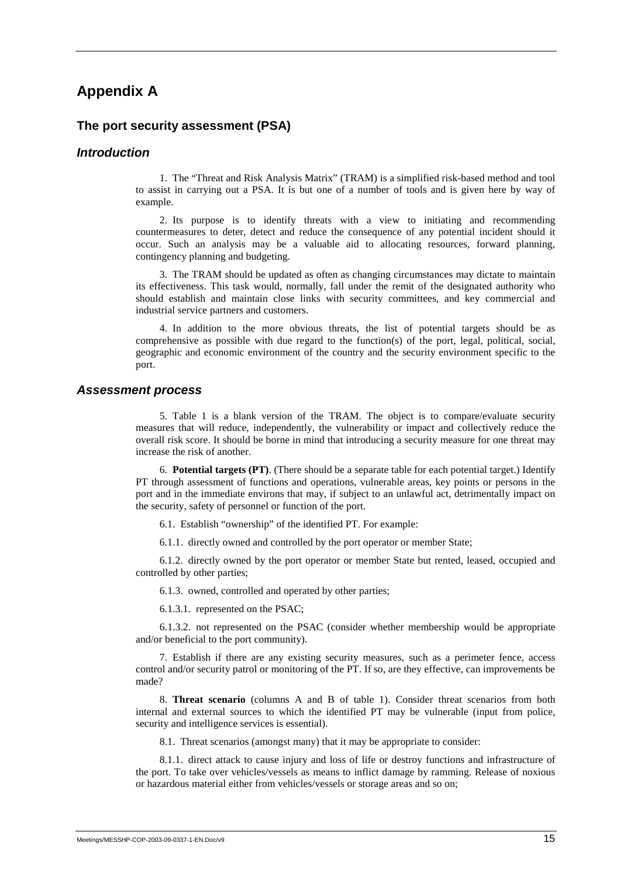## **Appendix A**

### **The port security assessment (PSA)**

#### *Introduction*

1. The "Threat and Risk Analysis Matrix" (TRAM) is a simplified risk-based method and tool to assist in carrying out a PSA. It is but one of a number of tools and is given here by way of example.

2. Its purpose is to identify threats with a view to initiating and recommending countermeasures to deter, detect and reduce the consequence of any potential incident should it occur. Such an analysis may be a valuable aid to allocating resources, forward planning, contingency planning and budgeting.

3. The TRAM should be updated as often as changing circumstances may dictate to maintain its effectiveness. This task would, normally, fall under the remit of the designated authority who should establish and maintain close links with security committees, and key commercial and industrial service partners and customers.

4. In addition to the more obvious threats, the list of potential targets should be as comprehensive as possible with due regard to the function(s) of the port, legal, political, social, geographic and economic environment of the country and the security environment specific to the port.

#### *Assessment process*

5. Table 1 is a blank version of the TRAM. The object is to compare/evaluate security measures that will reduce, independently, the vulnerability or impact and collectively reduce the overall risk score. It should be borne in mind that introducing a security measure for one threat may increase the risk of another.

6. **Potential targets (PT)**. (There should be a separate table for each potential target.) Identify PT through assessment of functions and operations, vulnerable areas, key points or persons in the port and in the immediate environs that may, if subject to an unlawful act, detrimentally impact on the security, safety of personnel or function of the port.

6.1. Establish "ownership" of the identified PT. For example:

6.1.1. directly owned and controlled by the port operator or member State;

6.1.2. directly owned by the port operator or member State but rented, leased, occupied and controlled by other parties;

6.1.3. owned, controlled and operated by other parties;

6.1.3.1. represented on the PSAC;

6.1.3.2. not represented on the PSAC (consider whether membership would be appropriate and/or beneficial to the port community).

7. Establish if there are any existing security measures, such as a perimeter fence, access control and/or security patrol or monitoring of the PT. If so, are they effective, can improvements be made?

8. **Threat scenario** (columns A and B of table 1). Consider threat scenarios from both internal and external sources to which the identified PT may be vulnerable (input from police, security and intelligence services is essential).

8.1. Threat scenarios (amongst many) that it may be appropriate to consider:

8.1.1. direct attack to cause injury and loss of life or destroy functions and infrastructure of the port. To take over vehicles/vessels as means to inflict damage by ramming. Release of noxious or hazardous material either from vehicles/vessels or storage areas and so on;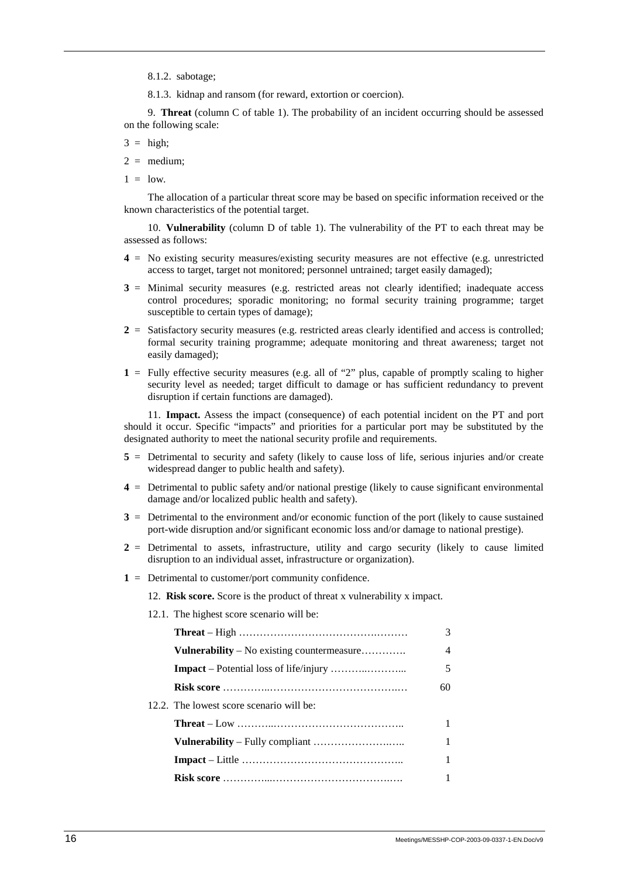8.1.2. sabotage;

8.1.3. kidnap and ransom (for reward, extortion or coercion).

9. **Threat** (column C of table 1). The probability of an incident occurring should be assessed on the following scale:

 $3 = high;$ 

 $2 =$  medium:

 $1 = 1$ ow

The allocation of a particular threat score may be based on specific information received or the known characteristics of the potential target.

10. **Vulnerability** (column D of table 1). The vulnerability of the PT to each threat may be assessed as follows:

- **4** = No existing security measures/existing security measures are not effective (e.g. unrestricted access to target, target not monitored; personnel untrained; target easily damaged);
- **3** = Minimal security measures (e.g. restricted areas not clearly identified; inadequate access control procedures; sporadic monitoring; no formal security training programme; target susceptible to certain types of damage);
- $2 =$  Satisfactory security measures (e.g. restricted areas clearly identified and access is controlled; formal security training programme; adequate monitoring and threat awareness; target not easily damaged);
- **1** = Fully effective security measures (e.g. all of "2" plus, capable of promptly scaling to higher security level as needed; target difficult to damage or has sufficient redundancy to prevent disruption if certain functions are damaged).

11. **Impact.** Assess the impact (consequence) of each potential incident on the PT and port should it occur. Specific "impacts" and priorities for a particular port may be substituted by the designated authority to meet the national security profile and requirements.

- **5** = Detrimental to security and safety (likely to cause loss of life, serious injuries and/or create widespread danger to public health and safety).
- **4** = Detrimental to public safety and/or national prestige (likely to cause significant environmental damage and/or localized public health and safety).
- **3** = Detrimental to the environment and/or economic function of the port (likely to cause sustained port-wide disruption and/or significant economic loss and/or damage to national prestige).
- **2** = Detrimental to assets, infrastructure, utility and cargo security (likely to cause limited disruption to an individual asset, infrastructure or organization).
- **1** = Detrimental to customer/port community confidence.

12. **Risk score.** Score is the product of threat x vulnerability x impact.

12.1. The highest score scenario will be: **Threat** – High ………………………………….……… 3 **Vulnerability** – No existing countermeasure………….. 4 **Impact** – Potential loss of life/injury ………..………... 5 **Risk score** …………..……………………………….… 60 12.2. The lowest score scenario will be: **Threat** – Low ………..……………………………….. 1 **Vulnerability** – Fully compliant ………………….….. 1 **Impact** – Little ……………………………………….. 1 **Risk score** …………...…………………………….…. 1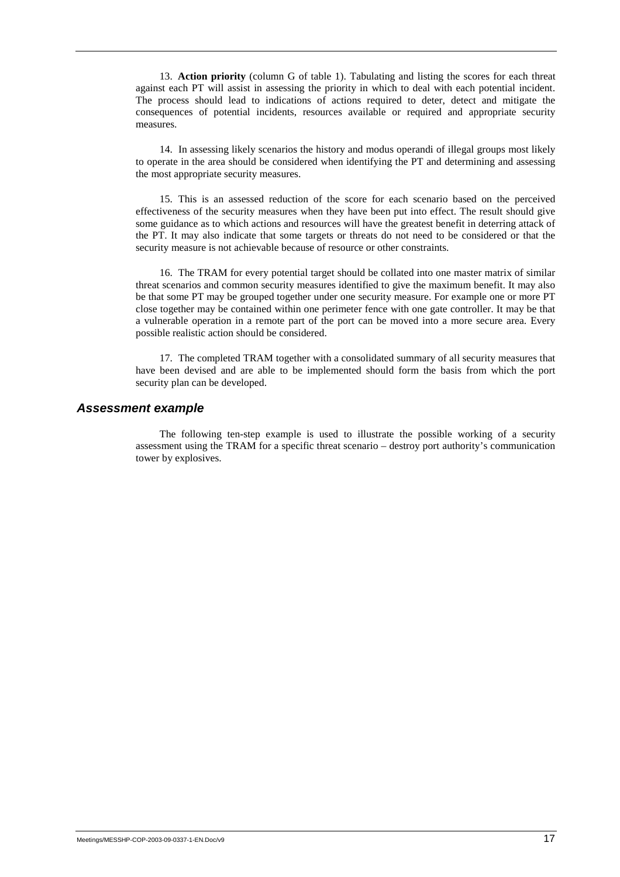13. **Action priority** (column G of table 1). Tabulating and listing the scores for each threat against each PT will assist in assessing the priority in which to deal with each potential incident. The process should lead to indications of actions required to deter, detect and mitigate the consequences of potential incidents, resources available or required and appropriate security measures.

14. In assessing likely scenarios the history and modus operandi of illegal groups most likely to operate in the area should be considered when identifying the PT and determining and assessing the most appropriate security measures.

15. This is an assessed reduction of the score for each scenario based on the perceived effectiveness of the security measures when they have been put into effect. The result should give some guidance as to which actions and resources will have the greatest benefit in deterring attack of the PT. It may also indicate that some targets or threats do not need to be considered or that the security measure is not achievable because of resource or other constraints.

16. The TRAM for every potential target should be collated into one master matrix of similar threat scenarios and common security measures identified to give the maximum benefit. It may also be that some PT may be grouped together under one security measure. For example one or more PT close together may be contained within one perimeter fence with one gate controller. It may be that a vulnerable operation in a remote part of the port can be moved into a more secure area. Every possible realistic action should be considered.

17. The completed TRAM together with a consolidated summary of all security measures that have been devised and are able to be implemented should form the basis from which the port security plan can be developed.

#### *Assessment example*

The following ten-step example is used to illustrate the possible working of a security assessment using the TRAM for a specific threat scenario – destroy port authority's communication tower by explosives.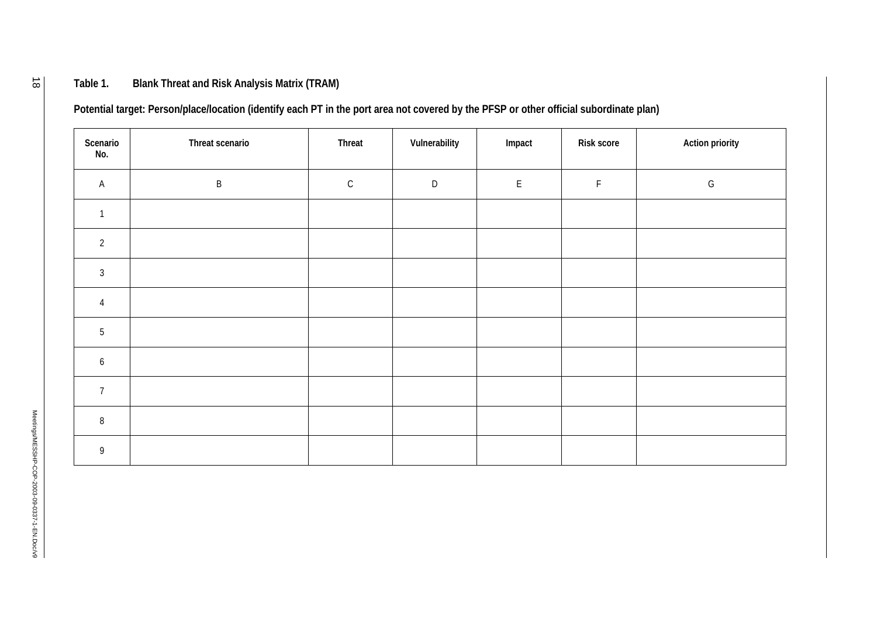## **Table 1. Blank Threat and Risk Analysis Matrix (TRAM)**

**Potential target: Person/place/location (identify each PT in the port area not covered by the PFSP or other official subordinate plan)** 

| Scenario<br>No. | Threat scenario | Threat      | Vulnerability | Impact             | <b>Risk score</b> | <b>Action priority</b> |
|-----------------|-----------------|-------------|---------------|--------------------|-------------------|------------------------|
| $\mathsf{A}$    | $\sf B$         | $\mathsf C$ | $\mathsf D$   | $\mathsf{E}% _{0}$ | $\mathsf F$       | ${\mathsf G}$          |
| $\overline{1}$  |                 |             |               |                    |                   |                        |
| $\overline{2}$  |                 |             |               |                    |                   |                        |
| $\mathfrak{Z}$  |                 |             |               |                    |                   |                        |
| $\overline{4}$  |                 |             |               |                    |                   |                        |
| 5               |                 |             |               |                    |                   |                        |
| $6\overline{6}$ |                 |             |               |                    |                   |                        |
| $7\overline{ }$ |                 |             |               |                    |                   |                        |
| $\, 8$          |                 |             |               |                    |                   |                        |
| 9               |                 |             |               |                    |                   |                        |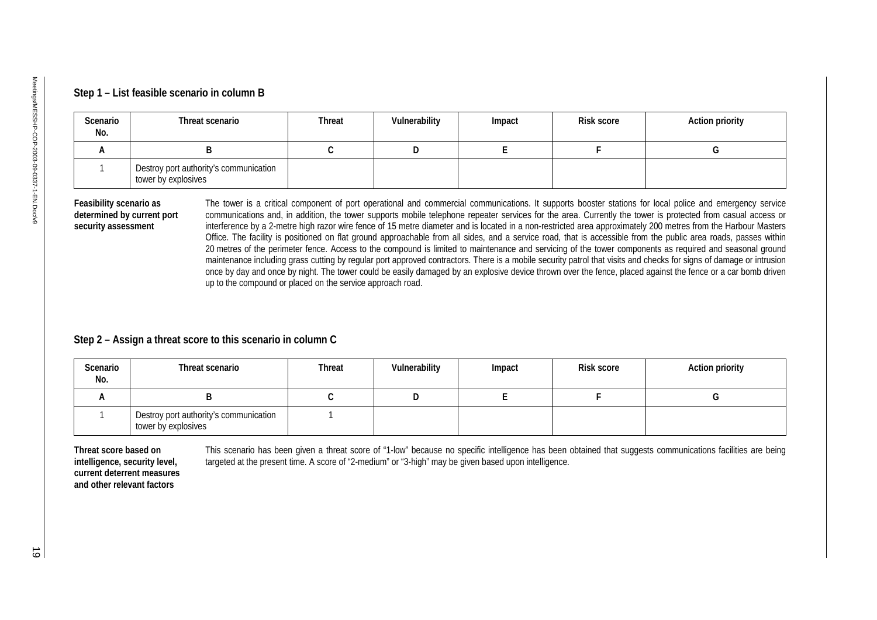| Scenario<br>No.     | Threat scenario                                               | <b>Threat</b> | Vulnerability | Impact      | <b>Risk score</b>                                                                                                                                                                                                                                                                                                                                                                                                                                                                                                                                                                                                                                                                                                                                                                                                                    | <b>Action priority</b> |
|---------------------|---------------------------------------------------------------|---------------|---------------|-------------|--------------------------------------------------------------------------------------------------------------------------------------------------------------------------------------------------------------------------------------------------------------------------------------------------------------------------------------------------------------------------------------------------------------------------------------------------------------------------------------------------------------------------------------------------------------------------------------------------------------------------------------------------------------------------------------------------------------------------------------------------------------------------------------------------------------------------------------|------------------------|
| A                   | B                                                             | $\mathsf{C}$  | D             | $\mathsf E$ | F                                                                                                                                                                                                                                                                                                                                                                                                                                                                                                                                                                                                                                                                                                                                                                                                                                    | G                      |
| 1                   | Destroy port authority's communication<br>tower by explosives |               |               |             |                                                                                                                                                                                                                                                                                                                                                                                                                                                                                                                                                                                                                                                                                                                                                                                                                                      |                        |
| security assessment | up to the compound or placed on the service approach road.    |               |               |             | interference by a 2-metre high razor wire fence of 15 metre diameter and is located in a non-restricted area approximately 200 metres from the Harbour Masters<br>Office. The facility is positioned on flat ground approachable from all sides, and a service road, that is accessible from the public area roads, passes within<br>20 metres of the perimeter fence. Access to the compound is limited to maintenance and servicing of the tower components as required and seasonal ground<br>maintenance including grass cutting by regular port approved contractors. There is a mobile security patrol that visits and checks for signs of damage or intrusion<br>once by day and once by night. The tower could be easily damaged by an explosive device thrown over the fence, placed against the fence or a car bomb driven |                        |
|                     | Step 2 - Assign a threat score to this scenario in column C   |               |               |             |                                                                                                                                                                                                                                                                                                                                                                                                                                                                                                                                                                                                                                                                                                                                                                                                                                      |                        |
| Scenario<br>No.     | Threat scenario                                               | <b>Threat</b> | Vulnerability | Impact      | <b>Risk score</b>                                                                                                                                                                                                                                                                                                                                                                                                                                                                                                                                                                                                                                                                                                                                                                                                                    |                        |
| A                   | B                                                             | $\mathsf C$   | D             | $\mathsf E$ | F                                                                                                                                                                                                                                                                                                                                                                                                                                                                                                                                                                                                                                                                                                                                                                                                                                    | G                      |
| 1                   | Destroy port authority's communication<br>tower by explosives | $\mathbf{1}$  |               |             |                                                                                                                                                                                                                                                                                                                                                                                                                                                                                                                                                                                                                                                                                                                                                                                                                                      | <b>Action priority</b> |

| Scenario<br>No. | Threat scenario                                               | <b>Threat</b> | Vulnerability | Impact | <b>Risk score</b> | <b>Action priority</b> |
|-----------------|---------------------------------------------------------------|---------------|---------------|--------|-------------------|------------------------|
|                 |                                                               |               |               |        |                   |                        |
|                 | Destroy port authority's communication<br>tower by explosives |               |               |        |                   |                        |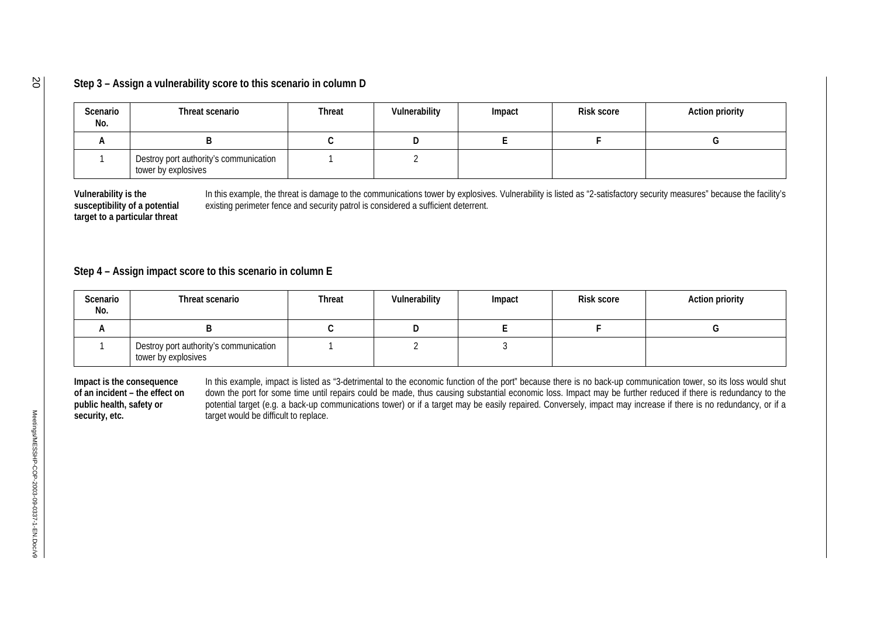### **Step 3 – Assign a vulnerability score to this scenario in column D**

| Scenario<br>No. | Threat scenario                                               | <b>Threat</b> | Vulnerability | Impact | <b>Risk score</b> | <b>Action priority</b> |
|-----------------|---------------------------------------------------------------|---------------|---------------|--------|-------------------|------------------------|
|                 |                                                               |               |               |        |                   |                        |
|                 | Destroy port authority's communication<br>tower by explosives |               |               |        |                   |                        |

**Vulnerability is the susceptibility of a potential target to a particular threat** 

In this example, the threat is damage to the communications tower by explosives. Vulnerability is listed as "2-satisfactory security measures" because the facility's existing perimeter fence and security patrol is considered a sufficient deterrent.

## **Step 4 – Assign impact score to this scenario in column E**

| Scenario<br>No. | Threat scenario                                               | <b>Threat</b> | Vulnerability | Impact | <b>Risk score</b> | <b>Action priority</b> |
|-----------------|---------------------------------------------------------------|---------------|---------------|--------|-------------------|------------------------|
|                 |                                                               |               |               |        |                   |                        |
|                 | Destroy port authority's communication<br>tower by explosives |               |               |        |                   |                        |

**Impact is the consequence of an incident – the effect on public health, safety or security, etc.**  In this example, impact is listed as "3-detrimental to the economic function of the port" because there is no back-up communication tower, so its loss would shut down the port for some time until repairs could be made, thus causing substantial economic loss. Impact may be further reduced if there is redundancy to the potential target (e.g. a back-up communications tower) or if a target may be easily repaired. Conversely, impact may increase if there is no redundancy, or if a target would be difficult to replace.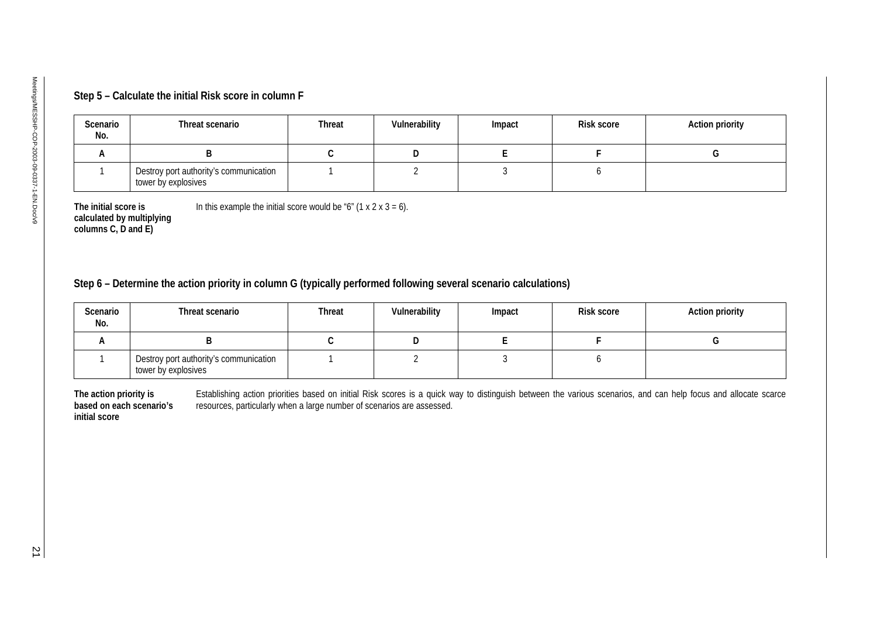| Scenario<br>No. | Threat scenario                                               | <b>Threat</b> | Vulnerability | Impact | <b>Risk score</b> | <b>Action priority</b> |
|-----------------|---------------------------------------------------------------|---------------|---------------|--------|-------------------|------------------------|
| n.              |                                                               |               |               |        |                   |                        |
|                 | Destroy port authority's communication<br>tower by explosives |               |               |        |                   |                        |

| Scenario<br>No.                                                     | Threat scenario                                                                                                  | <b>Threat</b> | Vulnerability  | Impact      | Risk score                                                                                                                                                      | <b>Action priority</b> |
|---------------------------------------------------------------------|------------------------------------------------------------------------------------------------------------------|---------------|----------------|-------------|-----------------------------------------------------------------------------------------------------------------------------------------------------------------|------------------------|
| A                                                                   | B                                                                                                                | $\mathsf C$   | D              | E           | $\mathsf F$                                                                                                                                                     | G                      |
| 1                                                                   | Destroy port authority's communication<br>tower by explosives                                                    | $\mathbf{1}$  | $\overline{2}$ | 3           | 6                                                                                                                                                               |                        |
| columns C, D and E)                                                 | Step 6 - Determine the action priority in column G (typically performed following several scenario calculations) |               |                |             |                                                                                                                                                                 |                        |
| Scenario<br>No.                                                     | Threat scenario                                                                                                  | <b>Threat</b> | Vulnerability  | Impact      | Risk score                                                                                                                                                      | <b>Action priority</b> |
| A                                                                   | B                                                                                                                | $\mathsf C$   | D              | $\mathsf E$ | $\mathsf F$                                                                                                                                                     | G                      |
| 1                                                                   | Destroy port authority's communication<br>tower by explosives                                                    | $\mathbf{1}$  | $\overline{2}$ | 3           | 6                                                                                                                                                               |                        |
| The action priority is<br>based on each scenario's<br>initial score | resources, particularly when a large number of scenarios are assessed.                                           |               |                |             | Establishing action priorities based on initial Risk scores is a quick way to distinguish between the various scenarios, and can help focus and allocate scarce |                        |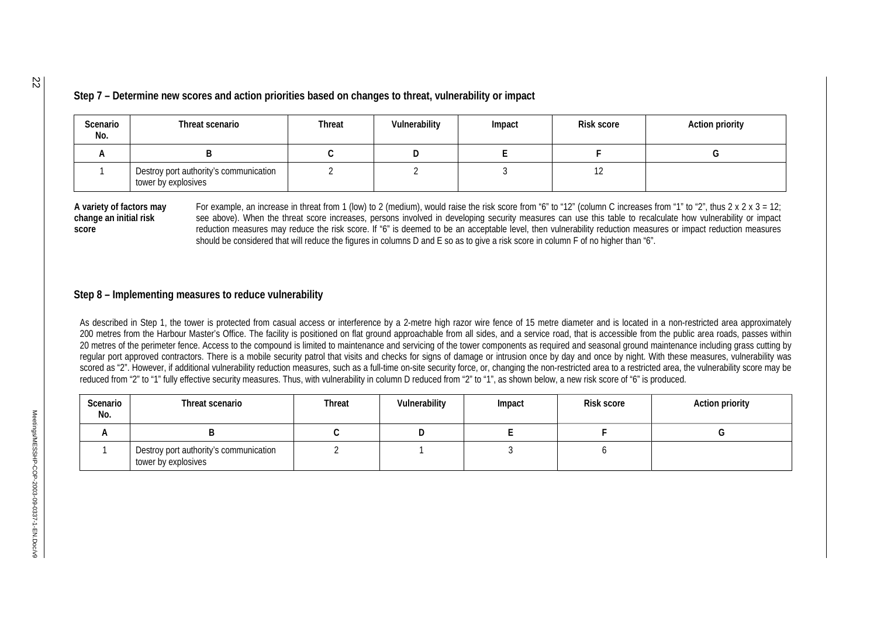**Step 7 – Determine new scores and action priorities based on changes to threat, vulnerability or impact** 

| Scenario<br>No. | Threat scenario                                               | <b>Threat</b> | Vulnerability | Impact | <b>Risk score</b> | <b>Action priority</b> |
|-----------------|---------------------------------------------------------------|---------------|---------------|--------|-------------------|------------------------|
|                 |                                                               |               |               |        |                   |                        |
|                 | Destroy port authority's communication<br>tower by explosives |               |               |        |                   |                        |

**A variety of factors may change an initial risk score** 

For example, an increase in threat from 1 (low) to 2 (medium), would raise the risk score from "6" to "12" (column C increases from "1" to "2", thus 2 x 2 x 3 = 12; see above). When the threat score increases, persons involved in developing security measures can use this table to recalculate how vulnerability or impact reduction measures may reduce the risk score. If "6" is deemed to be an acceptable level, then vulnerability reduction measures or impact reduction measures should be considered that will reduce the figures in columns D and E so as to give a risk score in column F of no higher than "6".

#### **Step 8 – Implementing measures to reduce vulnerability**

As described in Step 1, the tower is protected from casual access or interference by a 2-metre high razor wire fence of 15 metre diameter and is located in a non-restricted area approximately 200 metres from the Harbour Master's Office. The facility is positioned on flat ground approachable from all sides, and a service road, that is accessible from the public area roads, passes within 20 metres of the perimeter fence. Access to the compound is limited to maintenance and servicing of the tower components as required and seasonal ground maintenance including grass cutting by regular port approved contractors. There is a mobile security patrol that visits and checks for signs of damage or intrusion once by day and once by night. With these measures, vulnerability was scored as "2". However, if additional vulnerability reduction measures, such as a full-time on-site security force, or, changing the non-restricted area to a restricted area, the vulnerability score may be reduced from "2" to "1" fully effective security measures. Thus, with vulnerability in column D reduced from "2" to "1", as shown below, a new risk score of "6" is produced.

| Scenario<br>No. | Threat scenario                                               | <b>Threat</b> | Vulnerability | Impact | <b>Risk score</b> | <b>Action priority</b> |
|-----------------|---------------------------------------------------------------|---------------|---------------|--------|-------------------|------------------------|
|                 |                                                               |               |               |        |                   |                        |
|                 | Destroy port authority's communication<br>tower by explosives |               |               |        |                   |                        |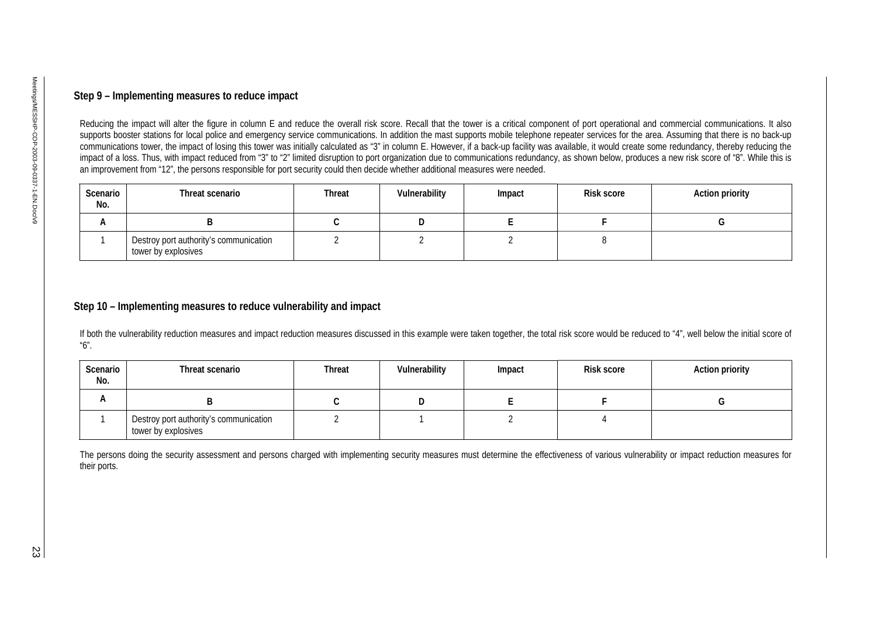| Scenario<br>No. | Threat scenario                                               | Threat | Vulnerability | Impact | <b>Risk score</b> | <b>Action priority</b> |
|-----------------|---------------------------------------------------------------|--------|---------------|--------|-------------------|------------------------|
| A               |                                                               |        |               |        |                   |                        |
|                 | Destroy port authority's communication<br>tower by explosives |        |               |        |                   |                        |

| No. | Threat scenario                                               | Threat         | Vulnerability  | Impact         | <b>Risk score</b> | <b>Action priority</b> |
|-----|---------------------------------------------------------------|----------------|----------------|----------------|-------------------|------------------------|
| Α   | B                                                             | $\mathsf C$    | D              | E              | F                 | G                      |
| 1   | Destroy port authority's communication<br>tower by explosives | $\overline{2}$ | $\overline{2}$ | $\overline{2}$ | 8                 |                        |
| No. |                                                               |                |                |                |                   |                        |
| А   | B                                                             | C              | D              | E              | F.                | G                      |
|     |                                                               | $\overline{2}$ | $\mathbf{1}$   | $\overline{2}$ | $\overline{4}$    |                        |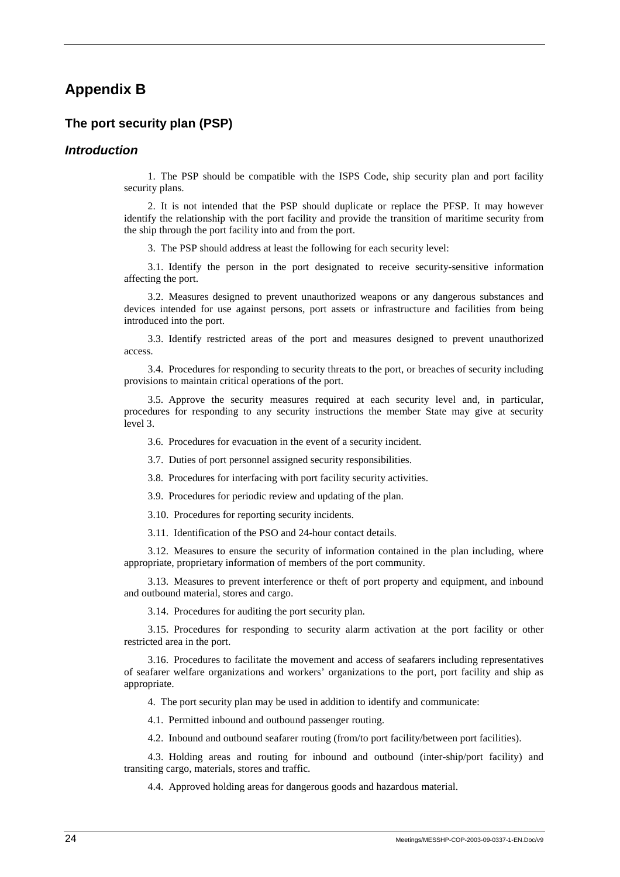## **Appendix B**

### **The port security plan (PSP)**

### *Introduction*

1. The PSP should be compatible with the ISPS Code, ship security plan and port facility security plans.

2. It is not intended that the PSP should duplicate or replace the PFSP. It may however identify the relationship with the port facility and provide the transition of maritime security from the ship through the port facility into and from the port.

3. The PSP should address at least the following for each security level:

3.1. Identify the person in the port designated to receive security-sensitive information affecting the port.

3.2. Measures designed to prevent unauthorized weapons or any dangerous substances and devices intended for use against persons, port assets or infrastructure and facilities from being introduced into the port.

3.3. Identify restricted areas of the port and measures designed to prevent unauthorized access.

3.4. Procedures for responding to security threats to the port, or breaches of security including provisions to maintain critical operations of the port.

3.5. Approve the security measures required at each security level and, in particular, procedures for responding to any security instructions the member State may give at security level 3.

3.6. Procedures for evacuation in the event of a security incident.

3.7. Duties of port personnel assigned security responsibilities.

3.8. Procedures for interfacing with port facility security activities.

3.9. Procedures for periodic review and updating of the plan.

3.10. Procedures for reporting security incidents.

3.11. Identification of the PSO and 24-hour contact details.

3.12. Measures to ensure the security of information contained in the plan including, where appropriate, proprietary information of members of the port community.

3.13. Measures to prevent interference or theft of port property and equipment, and inbound and outbound material, stores and cargo.

3.14. Procedures for auditing the port security plan.

3.15. Procedures for responding to security alarm activation at the port facility or other restricted area in the port.

3.16. Procedures to facilitate the movement and access of seafarers including representatives of seafarer welfare organizations and workers' organizations to the port, port facility and ship as appropriate.

4. The port security plan may be used in addition to identify and communicate:

4.1. Permitted inbound and outbound passenger routing.

4.2. Inbound and outbound seafarer routing (from/to port facility/between port facilities).

4.3. Holding areas and routing for inbound and outbound (inter-ship/port facility) and transiting cargo, materials, stores and traffic.

4.4. Approved holding areas for dangerous goods and hazardous material.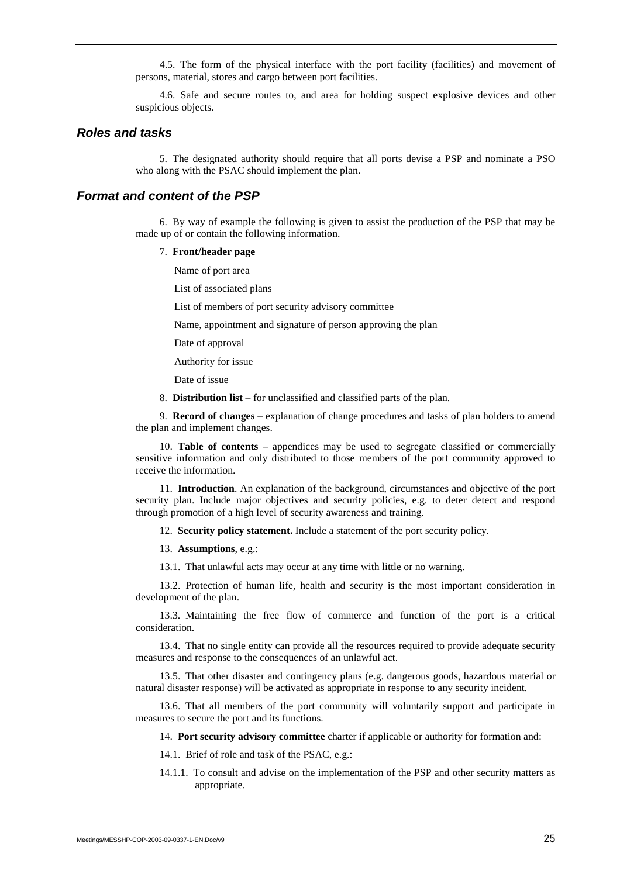4.5. The form of the physical interface with the port facility (facilities) and movement of persons, material, stores and cargo between port facilities.

4.6. Safe and secure routes to, and area for holding suspect explosive devices and other suspicious objects.

#### *Roles and tasks*

5. The designated authority should require that all ports devise a PSP and nominate a PSO who along with the PSAC should implement the plan.

#### *Format and content of the PSP*

6. By way of example the following is given to assist the production of the PSP that may be made up of or contain the following information.

#### 7. **Front/header page**

Name of port area

List of associated plans

List of members of port security advisory committee

Name, appointment and signature of person approving the plan

Date of approval

Authority for issue

Date of issue

8. **Distribution list** – for unclassified and classified parts of the plan.

9. **Record of changes** – explanation of change procedures and tasks of plan holders to amend the plan and implement changes.

10. **Table of contents** – appendices may be used to segregate classified or commercially sensitive information and only distributed to those members of the port community approved to receive the information.

11. **Introduction**. An explanation of the background, circumstances and objective of the port security plan. Include major objectives and security policies, e.g. to deter detect and respond through promotion of a high level of security awareness and training.

12. **Security policy statement.** Include a statement of the port security policy.

13. **Assumptions**, e.g.:

13.1. That unlawful acts may occur at any time with little or no warning.

13.2. Protection of human life, health and security is the most important consideration in development of the plan.

13.3. Maintaining the free flow of commerce and function of the port is a critical consideration.

13.4. That no single entity can provide all the resources required to provide adequate security measures and response to the consequences of an unlawful act.

13.5. That other disaster and contingency plans (e.g. dangerous goods, hazardous material or natural disaster response) will be activated as appropriate in response to any security incident.

13.6. That all members of the port community will voluntarily support and participate in measures to secure the port and its functions.

14. **Port security advisory committee** charter if applicable or authority for formation and:

14.1. Brief of role and task of the PSAC, e.g.:

14.1.1. To consult and advise on the implementation of the PSP and other security matters as appropriate.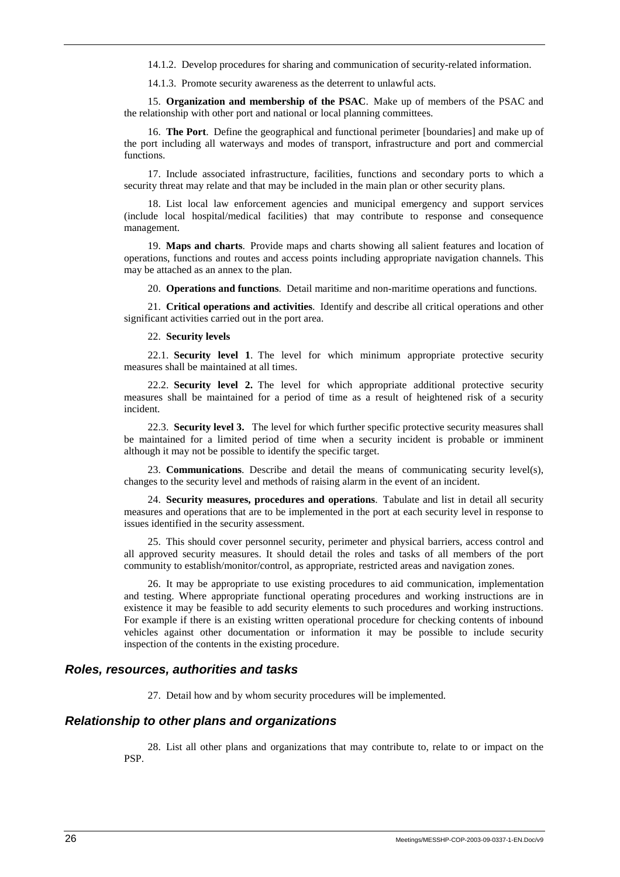14.1.2. Develop procedures for sharing and communication of security-related information.

14.1.3. Promote security awareness as the deterrent to unlawful acts.

15. **Organization and membership of the PSAC**. Make up of members of the PSAC and the relationship with other port and national or local planning committees.

16. **The Port**. Define the geographical and functional perimeter [boundaries] and make up of the port including all waterways and modes of transport, infrastructure and port and commercial functions.

17. Include associated infrastructure, facilities, functions and secondary ports to which a security threat may relate and that may be included in the main plan or other security plans.

18. List local law enforcement agencies and municipal emergency and support services (include local hospital/medical facilities) that may contribute to response and consequence management.

19. **Maps and charts**. Provide maps and charts showing all salient features and location of operations, functions and routes and access points including appropriate navigation channels. This may be attached as an annex to the plan.

20. **Operations and functions**. Detail maritime and non-maritime operations and functions.

21. **Critical operations and activities**. Identify and describe all critical operations and other significant activities carried out in the port area.

22. **Security levels**

22.1. **Security level 1**. The level for which minimum appropriate protective security measures shall be maintained at all times.

22.2. **Security level 2.** The level for which appropriate additional protective security measures shall be maintained for a period of time as a result of heightened risk of a security incident.

22.3. **Security level 3.** The level for which further specific protective security measures shall be maintained for a limited period of time when a security incident is probable or imminent although it may not be possible to identify the specific target.

23. **Communications**. Describe and detail the means of communicating security level(s), changes to the security level and methods of raising alarm in the event of an incident.

24. **Security measures, procedures and operations**. Tabulate and list in detail all security measures and operations that are to be implemented in the port at each security level in response to issues identified in the security assessment.

25. This should cover personnel security, perimeter and physical barriers, access control and all approved security measures. It should detail the roles and tasks of all members of the port community to establish/monitor/control, as appropriate, restricted areas and navigation zones.

26. It may be appropriate to use existing procedures to aid communication, implementation and testing. Where appropriate functional operating procedures and working instructions are in existence it may be feasible to add security elements to such procedures and working instructions. For example if there is an existing written operational procedure for checking contents of inbound vehicles against other documentation or information it may be possible to include security inspection of the contents in the existing procedure.

#### *Roles, resources, authorities and tasks*

27. Detail how and by whom security procedures will be implemented.

#### *Relationship to other plans and organizations*

28. List all other plans and organizations that may contribute to, relate to or impact on the PSP.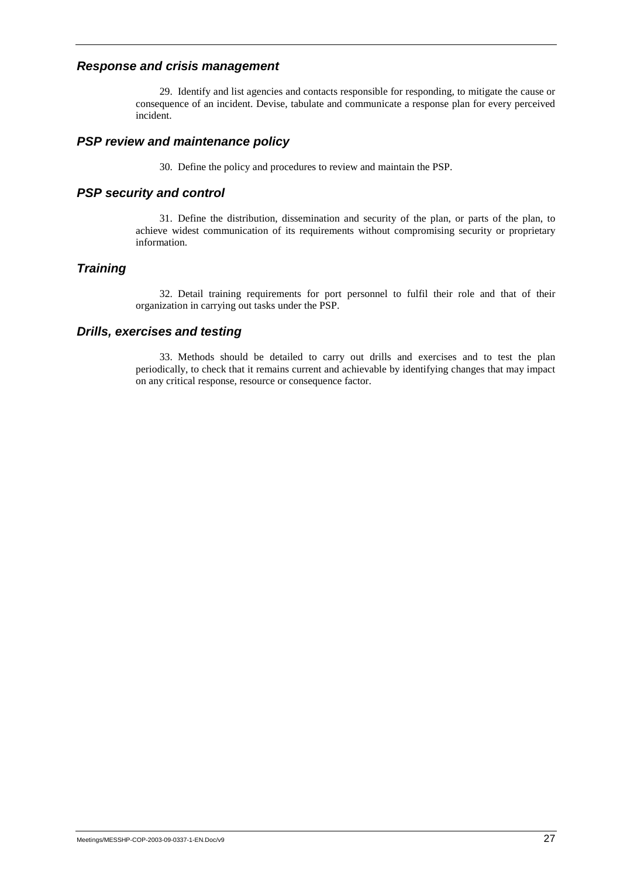### *Response and crisis management*

29. Identify and list agencies and contacts responsible for responding, to mitigate the cause or consequence of an incident. Devise, tabulate and communicate a response plan for every perceived incident.

### *PSP review and maintenance policy*

30. Define the policy and procedures to review and maintain the PSP.

### *PSP security and control*

31. Define the distribution, dissemination and security of the plan, or parts of the plan, to achieve widest communication of its requirements without compromising security or proprietary information.

### *Training*

32. Detail training requirements for port personnel to fulfil their role and that of their organization in carrying out tasks under the PSP.

### *Drills, exercises and testing*

33. Methods should be detailed to carry out drills and exercises and to test the plan periodically, to check that it remains current and achievable by identifying changes that may impact on any critical response, resource or consequence factor.